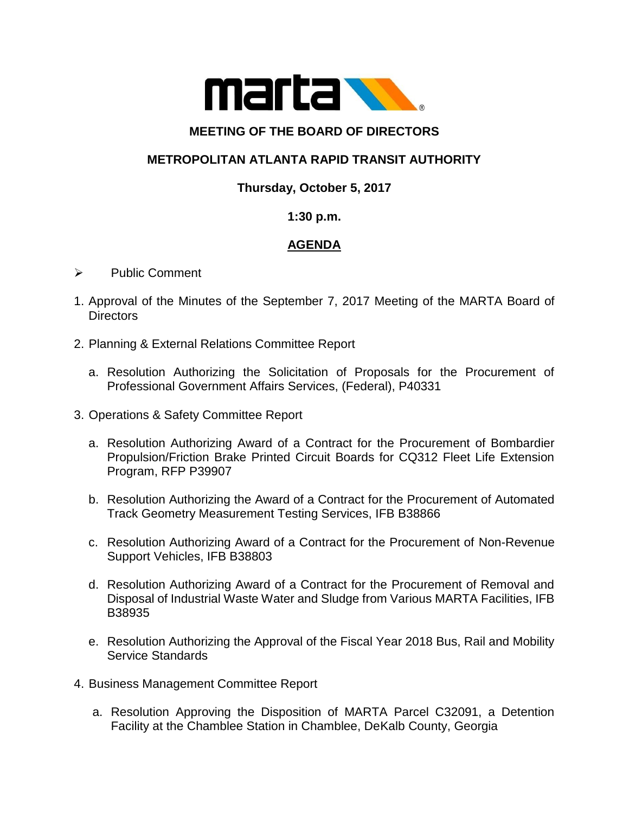

### **MEETING OF THE BOARD OF DIRECTORS**

# **METROPOLITAN ATLANTA RAPID TRANSIT AUTHORITY**

### **Thursday, October 5, 2017**

#### **1:30 p.m.**

# **AGENDA**

- $\triangleright$  Public Comment
- 1. Approval of the Minutes of the September 7, 2017 Meeting of the MARTA Board of **Directors**
- 2. Planning & External Relations Committee Report
	- a. Resolution Authorizing the Solicitation of Proposals for the Procurement of Professional Government Affairs Services, (Federal), P40331
- 3. Operations & Safety Committee Report
	- a. Resolution Authorizing Award of a Contract for the Procurement of Bombardier Propulsion/Friction Brake Printed Circuit Boards for CQ312 Fleet Life Extension Program, RFP P39907
	- b. Resolution Authorizing the Award of a Contract for the Procurement of Automated Track Geometry Measurement Testing Services, IFB B38866
	- c. Resolution Authorizing Award of a Contract for the Procurement of Non-Revenue Support Vehicles, IFB B38803
	- d. Resolution Authorizing Award of a Contract for the Procurement of Removal and Disposal of Industrial Waste Water and Sludge from Various MARTA Facilities, IFB B38935
	- e. Resolution Authorizing the Approval of the Fiscal Year 2018 Bus, Rail and Mobility Service Standards
- 4. Business Management Committee Report
	- a. Resolution Approving the Disposition of MARTA Parcel C32091, a Detention Facility at the Chamblee Station in Chamblee, DeKalb County, Georgia